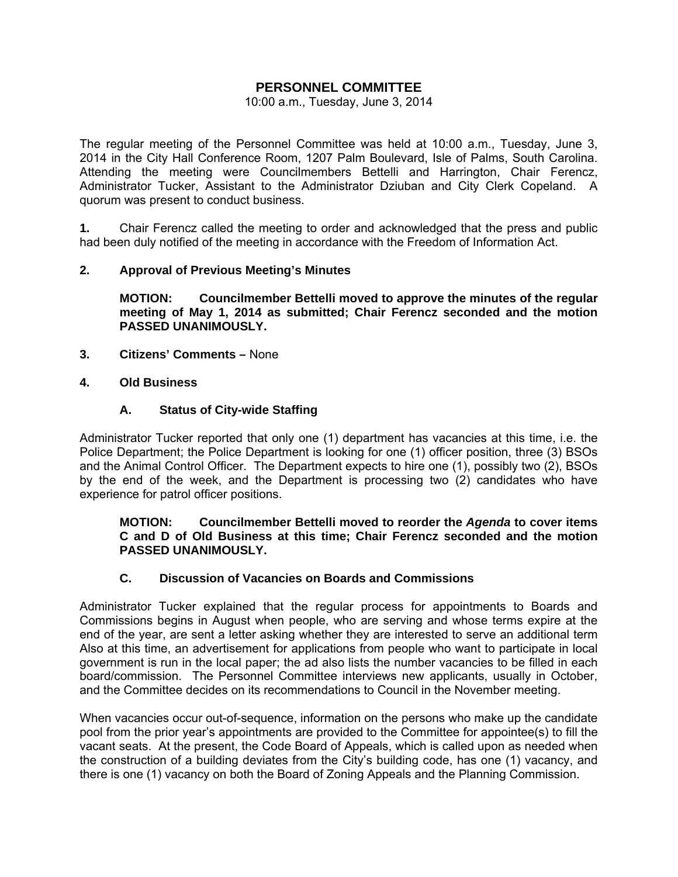## **PERSONNEL COMMITTEE**

### 10:00 a.m., Tuesday, June 3, 2014

The regular meeting of the Personnel Committee was held at 10:00 a.m., Tuesday, June 3, 2014 in the City Hall Conference Room, 1207 Palm Boulevard, Isle of Palms, South Carolina. Attending the meeting were Councilmembers Bettelli and Harrington, Chair Ferencz, Administrator Tucker, Assistant to the Administrator Dziuban and City Clerk Copeland. A quorum was present to conduct business.

**1.** Chair Ferencz called the meeting to order and acknowledged that the press and public had been duly notified of the meeting in accordance with the Freedom of Information Act.

## **2. Approval of Previous Meeting's Minutes**

 **MOTION: Councilmember Bettelli moved to approve the minutes of the regular meeting of May 1, 2014 as submitted; Chair Ferencz seconded and the motion PASSED UNANIMOUSLY.** 

**3. Citizens' Comments –** None

## **4. Old Business**

## **A. Status of City-wide Staffing**

Administrator Tucker reported that only one (1) department has vacancies at this time, i.e. the Police Department; the Police Department is looking for one (1) officer position, three (3) BSOs and the Animal Control Officer. The Department expects to hire one (1), possibly two (2), BSOs by the end of the week, and the Department is processing two (2) candidates who have experience for patrol officer positions.

## **MOTION: Councilmember Bettelli moved to reorder the** *Agenda* **to cover items C and D of Old Business at this time; Chair Ferencz seconded and the motion PASSED UNANIMOUSLY.**

## **C. Discussion of Vacancies on Boards and Commissions**

Administrator Tucker explained that the regular process for appointments to Boards and Commissions begins in August when people, who are serving and whose terms expire at the end of the year, are sent a letter asking whether they are interested to serve an additional term Also at this time, an advertisement for applications from people who want to participate in local government is run in the local paper; the ad also lists the number vacancies to be filled in each board/commission. The Personnel Committee interviews new applicants, usually in October, and the Committee decides on its recommendations to Council in the November meeting.

When vacancies occur out-of-sequence, information on the persons who make up the candidate pool from the prior year's appointments are provided to the Committee for appointee(s) to fill the vacant seats. At the present, the Code Board of Appeals, which is called upon as needed when the construction of a building deviates from the City's building code, has one (1) vacancy, and there is one (1) vacancy on both the Board of Zoning Appeals and the Planning Commission.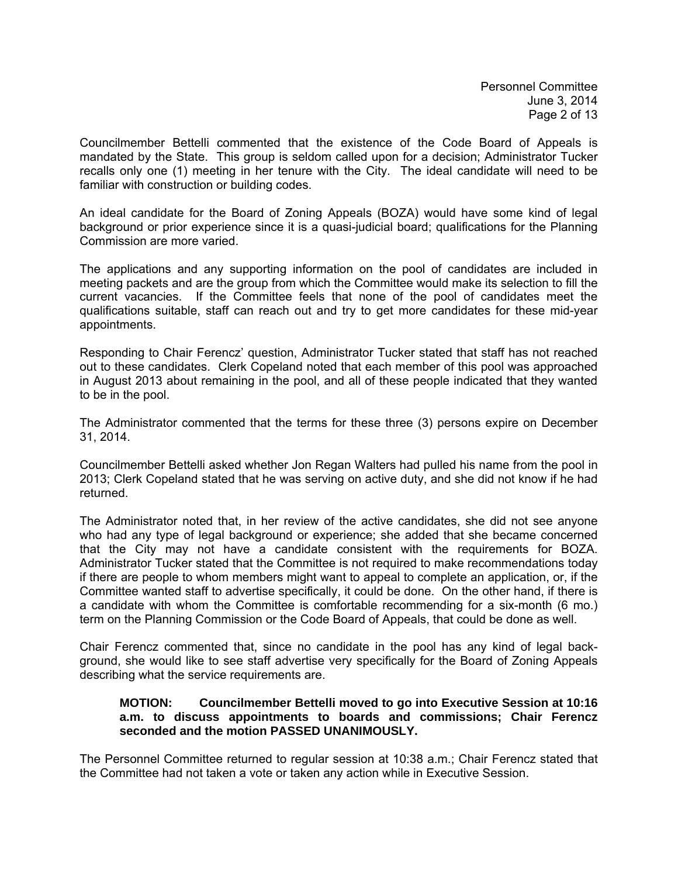Councilmember Bettelli commented that the existence of the Code Board of Appeals is mandated by the State. This group is seldom called upon for a decision; Administrator Tucker recalls only one (1) meeting in her tenure with the City. The ideal candidate will need to be familiar with construction or building codes.

An ideal candidate for the Board of Zoning Appeals (BOZA) would have some kind of legal background or prior experience since it is a quasi-judicial board; qualifications for the Planning Commission are more varied.

The applications and any supporting information on the pool of candidates are included in meeting packets and are the group from which the Committee would make its selection to fill the current vacancies. If the Committee feels that none of the pool of candidates meet the qualifications suitable, staff can reach out and try to get more candidates for these mid-year appointments.

Responding to Chair Ferencz' question, Administrator Tucker stated that staff has not reached out to these candidates. Clerk Copeland noted that each member of this pool was approached in August 2013 about remaining in the pool, and all of these people indicated that they wanted to be in the pool.

The Administrator commented that the terms for these three (3) persons expire on December 31, 2014.

Councilmember Bettelli asked whether Jon Regan Walters had pulled his name from the pool in 2013; Clerk Copeland stated that he was serving on active duty, and she did not know if he had returned.

The Administrator noted that, in her review of the active candidates, she did not see anyone who had any type of legal background or experience; she added that she became concerned that the City may not have a candidate consistent with the requirements for BOZA. Administrator Tucker stated that the Committee is not required to make recommendations today if there are people to whom members might want to appeal to complete an application, or, if the Committee wanted staff to advertise specifically, it could be done. On the other hand, if there is a candidate with whom the Committee is comfortable recommending for a six-month (6 mo.) term on the Planning Commission or the Code Board of Appeals, that could be done as well.

Chair Ferencz commented that, since no candidate in the pool has any kind of legal background, she would like to see staff advertise very specifically for the Board of Zoning Appeals describing what the service requirements are.

## **MOTION: Councilmember Bettelli moved to go into Executive Session at 10:16 a.m. to discuss appointments to boards and commissions; Chair Ferencz seconded and the motion PASSED UNANIMOUSLY.**

The Personnel Committee returned to regular session at 10:38 a.m.; Chair Ferencz stated that the Committee had not taken a vote or taken any action while in Executive Session.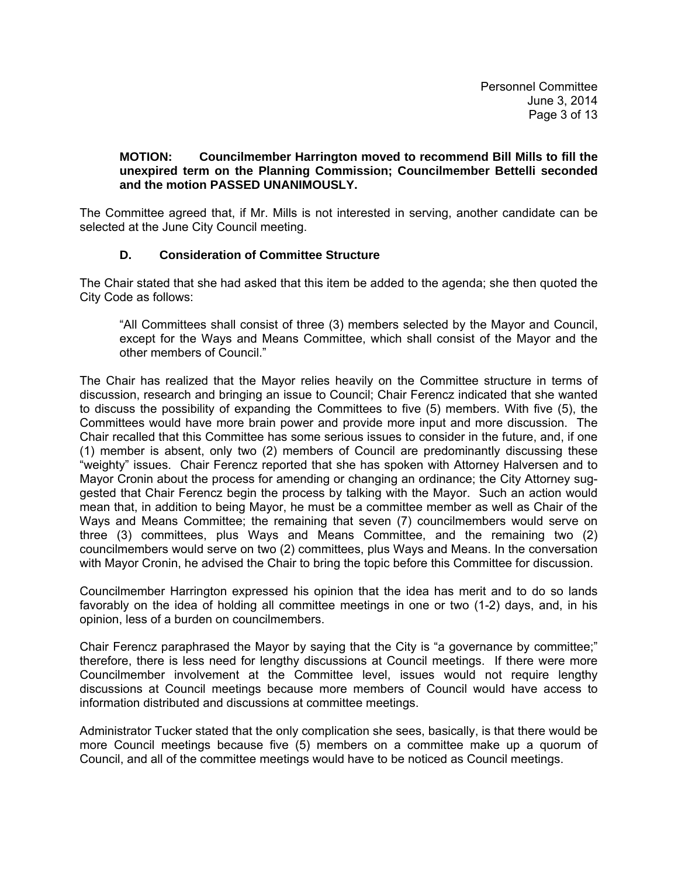## **MOTION: Councilmember Harrington moved to recommend Bill Mills to fill the unexpired term on the Planning Commission; Councilmember Bettelli seconded and the motion PASSED UNANIMOUSLY.**

The Committee agreed that, if Mr. Mills is not interested in serving, another candidate can be selected at the June City Council meeting.

## **D. Consideration of Committee Structure**

The Chair stated that she had asked that this item be added to the agenda; she then quoted the City Code as follows:

 "All Committees shall consist of three (3) members selected by the Mayor and Council, except for the Ways and Means Committee, which shall consist of the Mayor and the other members of Council."

The Chair has realized that the Mayor relies heavily on the Committee structure in terms of discussion, research and bringing an issue to Council; Chair Ferencz indicated that she wanted to discuss the possibility of expanding the Committees to five (5) members. With five (5), the Committees would have more brain power and provide more input and more discussion. The Chair recalled that this Committee has some serious issues to consider in the future, and, if one (1) member is absent, only two (2) members of Council are predominantly discussing these "weighty" issues. Chair Ferencz reported that she has spoken with Attorney Halversen and to Mayor Cronin about the process for amending or changing an ordinance; the City Attorney suggested that Chair Ferencz begin the process by talking with the Mayor. Such an action would mean that, in addition to being Mayor, he must be a committee member as well as Chair of the Ways and Means Committee; the remaining that seven (7) councilmembers would serve on three (3) committees, plus Ways and Means Committee, and the remaining two (2) councilmembers would serve on two (2) committees, plus Ways and Means. In the conversation with Mayor Cronin, he advised the Chair to bring the topic before this Committee for discussion.

Councilmember Harrington expressed his opinion that the idea has merit and to do so lands favorably on the idea of holding all committee meetings in one or two (1-2) days, and, in his opinion, less of a burden on councilmembers.

Chair Ferencz paraphrased the Mayor by saying that the City is "a governance by committee;" therefore, there is less need for lengthy discussions at Council meetings. If there were more Councilmember involvement at the Committee level, issues would not require lengthy discussions at Council meetings because more members of Council would have access to information distributed and discussions at committee meetings.

Administrator Tucker stated that the only complication she sees, basically, is that there would be more Council meetings because five (5) members on a committee make up a quorum of Council, and all of the committee meetings would have to be noticed as Council meetings.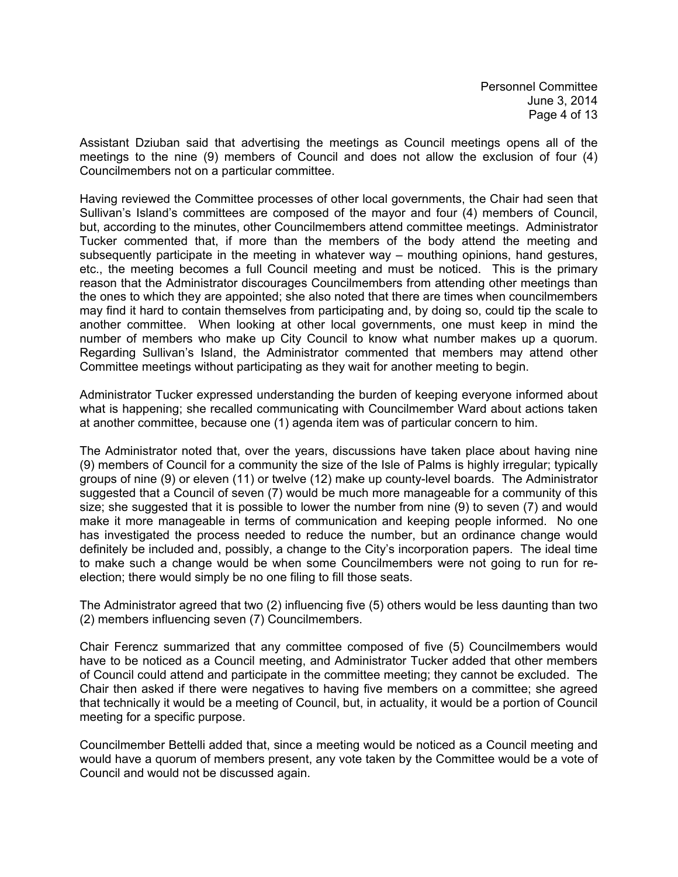Assistant Dziuban said that advertising the meetings as Council meetings opens all of the meetings to the nine (9) members of Council and does not allow the exclusion of four (4) Councilmembers not on a particular committee.

Having reviewed the Committee processes of other local governments, the Chair had seen that Sullivan's Island's committees are composed of the mayor and four (4) members of Council, but, according to the minutes, other Councilmembers attend committee meetings. Administrator Tucker commented that, if more than the members of the body attend the meeting and subsequently participate in the meeting in whatever way – mouthing opinions, hand gestures, etc., the meeting becomes a full Council meeting and must be noticed. This is the primary reason that the Administrator discourages Councilmembers from attending other meetings than the ones to which they are appointed; she also noted that there are times when councilmembers may find it hard to contain themselves from participating and, by doing so, could tip the scale to another committee. When looking at other local governments, one must keep in mind the number of members who make up City Council to know what number makes up a quorum. Regarding Sullivan's Island, the Administrator commented that members may attend other Committee meetings without participating as they wait for another meeting to begin.

Administrator Tucker expressed understanding the burden of keeping everyone informed about what is happening; she recalled communicating with Councilmember Ward about actions taken at another committee, because one (1) agenda item was of particular concern to him.

The Administrator noted that, over the years, discussions have taken place about having nine (9) members of Council for a community the size of the Isle of Palms is highly irregular; typically groups of nine (9) or eleven (11) or twelve (12) make up county-level boards. The Administrator suggested that a Council of seven (7) would be much more manageable for a community of this size; she suggested that it is possible to lower the number from nine (9) to seven (7) and would make it more manageable in terms of communication and keeping people informed. No one has investigated the process needed to reduce the number, but an ordinance change would definitely be included and, possibly, a change to the City's incorporation papers. The ideal time to make such a change would be when some Councilmembers were not going to run for reelection; there would simply be no one filing to fill those seats.

The Administrator agreed that two (2) influencing five (5) others would be less daunting than two (2) members influencing seven (7) Councilmembers.

Chair Ferencz summarized that any committee composed of five (5) Councilmembers would have to be noticed as a Council meeting, and Administrator Tucker added that other members of Council could attend and participate in the committee meeting; they cannot be excluded. The Chair then asked if there were negatives to having five members on a committee; she agreed that technically it would be a meeting of Council, but, in actuality, it would be a portion of Council meeting for a specific purpose.

Councilmember Bettelli added that, since a meeting would be noticed as a Council meeting and would have a quorum of members present, any vote taken by the Committee would be a vote of Council and would not be discussed again.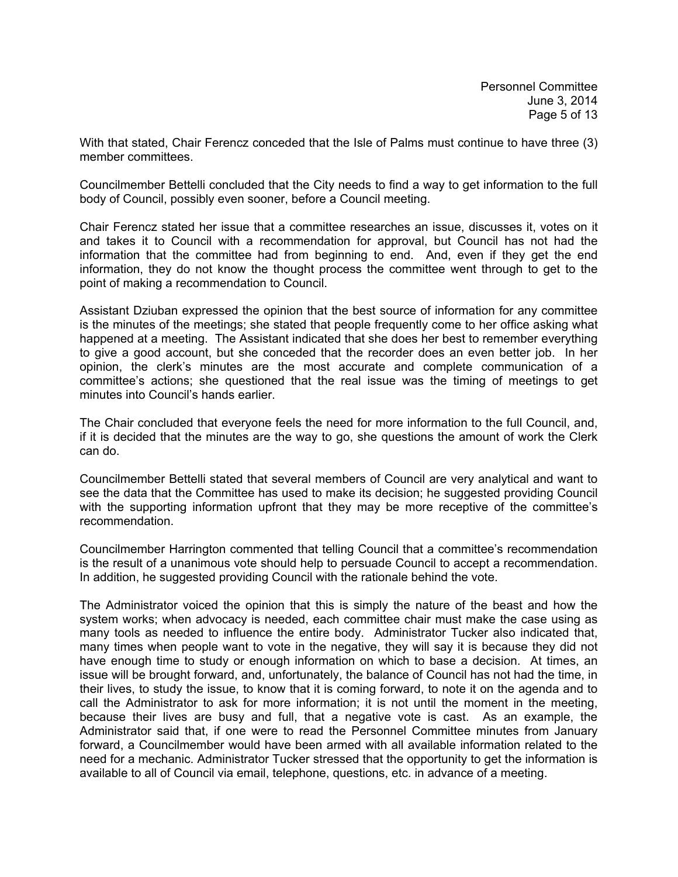With that stated, Chair Ferencz conceded that the Isle of Palms must continue to have three (3) member committees.

Councilmember Bettelli concluded that the City needs to find a way to get information to the full body of Council, possibly even sooner, before a Council meeting.

Chair Ferencz stated her issue that a committee researches an issue, discusses it, votes on it and takes it to Council with a recommendation for approval, but Council has not had the information that the committee had from beginning to end. And, even if they get the end information, they do not know the thought process the committee went through to get to the point of making a recommendation to Council.

Assistant Dziuban expressed the opinion that the best source of information for any committee is the minutes of the meetings; she stated that people frequently come to her office asking what happened at a meeting. The Assistant indicated that she does her best to remember everything to give a good account, but she conceded that the recorder does an even better job. In her opinion, the clerk's minutes are the most accurate and complete communication of a committee's actions; she questioned that the real issue was the timing of meetings to get minutes into Council's hands earlier.

The Chair concluded that everyone feels the need for more information to the full Council, and, if it is decided that the minutes are the way to go, she questions the amount of work the Clerk can do.

Councilmember Bettelli stated that several members of Council are very analytical and want to see the data that the Committee has used to make its decision; he suggested providing Council with the supporting information upfront that they may be more receptive of the committee's recommendation.

Councilmember Harrington commented that telling Council that a committee's recommendation is the result of a unanimous vote should help to persuade Council to accept a recommendation. In addition, he suggested providing Council with the rationale behind the vote.

The Administrator voiced the opinion that this is simply the nature of the beast and how the system works; when advocacy is needed, each committee chair must make the case using as many tools as needed to influence the entire body. Administrator Tucker also indicated that, many times when people want to vote in the negative, they will say it is because they did not have enough time to study or enough information on which to base a decision. At times, an issue will be brought forward, and, unfortunately, the balance of Council has not had the time, in their lives, to study the issue, to know that it is coming forward, to note it on the agenda and to call the Administrator to ask for more information; it is not until the moment in the meeting, because their lives are busy and full, that a negative vote is cast. As an example, the Administrator said that, if one were to read the Personnel Committee minutes from January forward, a Councilmember would have been armed with all available information related to the need for a mechanic. Administrator Tucker stressed that the opportunity to get the information is available to all of Council via email, telephone, questions, etc. in advance of a meeting.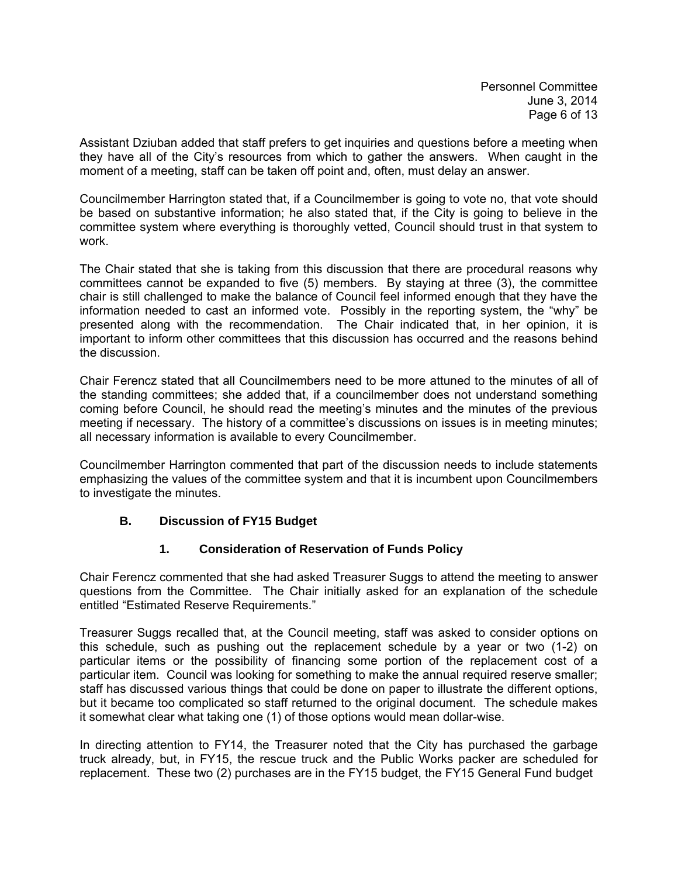Assistant Dziuban added that staff prefers to get inquiries and questions before a meeting when they have all of the City's resources from which to gather the answers. When caught in the moment of a meeting, staff can be taken off point and, often, must delay an answer.

Councilmember Harrington stated that, if a Councilmember is going to vote no, that vote should be based on substantive information; he also stated that, if the City is going to believe in the committee system where everything is thoroughly vetted, Council should trust in that system to work.

The Chair stated that she is taking from this discussion that there are procedural reasons why committees cannot be expanded to five (5) members. By staying at three (3), the committee chair is still challenged to make the balance of Council feel informed enough that they have the information needed to cast an informed vote. Possibly in the reporting system, the "why" be presented along with the recommendation. The Chair indicated that, in her opinion, it is important to inform other committees that this discussion has occurred and the reasons behind the discussion.

Chair Ferencz stated that all Councilmembers need to be more attuned to the minutes of all of the standing committees; she added that, if a councilmember does not understand something coming before Council, he should read the meeting's minutes and the minutes of the previous meeting if necessary. The history of a committee's discussions on issues is in meeting minutes; all necessary information is available to every Councilmember.

Councilmember Harrington commented that part of the discussion needs to include statements emphasizing the values of the committee system and that it is incumbent upon Councilmembers to investigate the minutes.

## **B. Discussion of FY15 Budget**

## **1. Consideration of Reservation of Funds Policy**

Chair Ferencz commented that she had asked Treasurer Suggs to attend the meeting to answer questions from the Committee. The Chair initially asked for an explanation of the schedule entitled "Estimated Reserve Requirements."

Treasurer Suggs recalled that, at the Council meeting, staff was asked to consider options on this schedule, such as pushing out the replacement schedule by a year or two (1-2) on particular items or the possibility of financing some portion of the replacement cost of a particular item. Council was looking for something to make the annual required reserve smaller; staff has discussed various things that could be done on paper to illustrate the different options, but it became too complicated so staff returned to the original document. The schedule makes it somewhat clear what taking one (1) of those options would mean dollar-wise.

In directing attention to FY14, the Treasurer noted that the City has purchased the garbage truck already, but, in FY15, the rescue truck and the Public Works packer are scheduled for replacement. These two (2) purchases are in the FY15 budget, the FY15 General Fund budget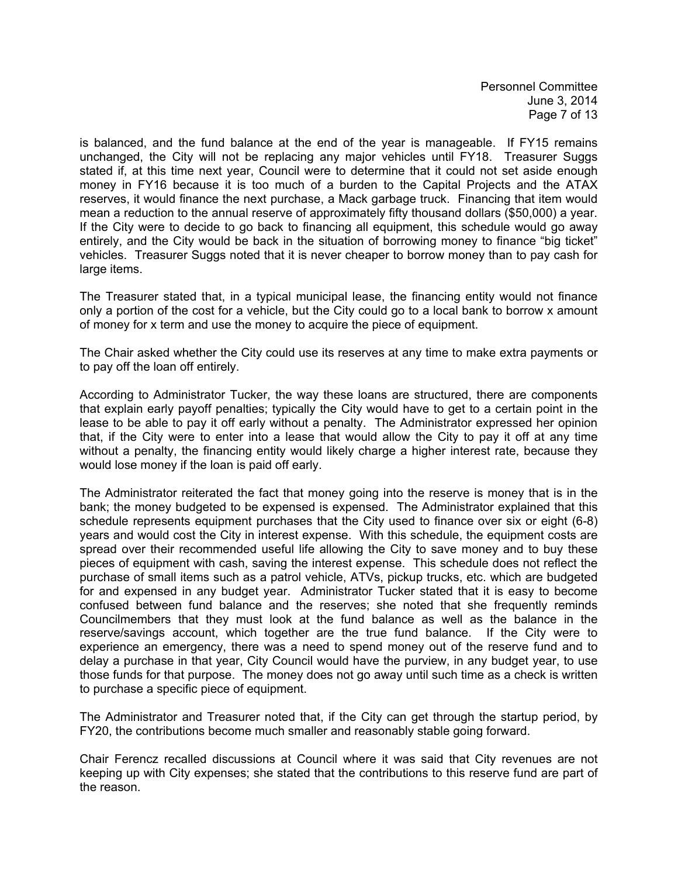Personnel Committee June 3, 2014 Page 7 of 13

is balanced, and the fund balance at the end of the year is manageable. If FY15 remains unchanged, the City will not be replacing any major vehicles until FY18. Treasurer Suggs stated if, at this time next year, Council were to determine that it could not set aside enough money in FY16 because it is too much of a burden to the Capital Projects and the ATAX reserves, it would finance the next purchase, a Mack garbage truck. Financing that item would mean a reduction to the annual reserve of approximately fifty thousand dollars (\$50,000) a year. If the City were to decide to go back to financing all equipment, this schedule would go away entirely, and the City would be back in the situation of borrowing money to finance "big ticket" vehicles. Treasurer Suggs noted that it is never cheaper to borrow money than to pay cash for large items.

The Treasurer stated that, in a typical municipal lease, the financing entity would not finance only a portion of the cost for a vehicle, but the City could go to a local bank to borrow x amount of money for x term and use the money to acquire the piece of equipment.

The Chair asked whether the City could use its reserves at any time to make extra payments or to pay off the loan off entirely.

According to Administrator Tucker, the way these loans are structured, there are components that explain early payoff penalties; typically the City would have to get to a certain point in the lease to be able to pay it off early without a penalty. The Administrator expressed her opinion that, if the City were to enter into a lease that would allow the City to pay it off at any time without a penalty, the financing entity would likely charge a higher interest rate, because they would lose money if the loan is paid off early.

The Administrator reiterated the fact that money going into the reserve is money that is in the bank; the money budgeted to be expensed is expensed. The Administrator explained that this schedule represents equipment purchases that the City used to finance over six or eight (6-8) years and would cost the City in interest expense. With this schedule, the equipment costs are spread over their recommended useful life allowing the City to save money and to buy these pieces of equipment with cash, saving the interest expense. This schedule does not reflect the purchase of small items such as a patrol vehicle, ATVs, pickup trucks, etc. which are budgeted for and expensed in any budget year. Administrator Tucker stated that it is easy to become confused between fund balance and the reserves; she noted that she frequently reminds Councilmembers that they must look at the fund balance as well as the balance in the reserve/savings account, which together are the true fund balance. If the City were to experience an emergency, there was a need to spend money out of the reserve fund and to delay a purchase in that year, City Council would have the purview, in any budget year, to use those funds for that purpose. The money does not go away until such time as a check is written to purchase a specific piece of equipment.

The Administrator and Treasurer noted that, if the City can get through the startup period, by FY20, the contributions become much smaller and reasonably stable going forward.

Chair Ferencz recalled discussions at Council where it was said that City revenues are not keeping up with City expenses; she stated that the contributions to this reserve fund are part of the reason.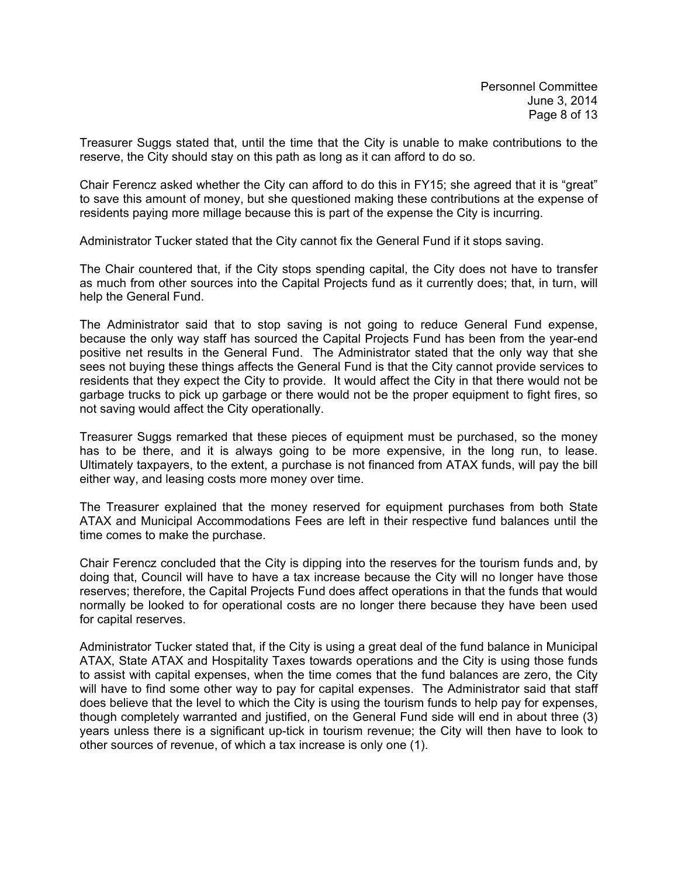Treasurer Suggs stated that, until the time that the City is unable to make contributions to the reserve, the City should stay on this path as long as it can afford to do so.

Chair Ferencz asked whether the City can afford to do this in FY15; she agreed that it is "great" to save this amount of money, but she questioned making these contributions at the expense of residents paying more millage because this is part of the expense the City is incurring.

Administrator Tucker stated that the City cannot fix the General Fund if it stops saving.

The Chair countered that, if the City stops spending capital, the City does not have to transfer as much from other sources into the Capital Projects fund as it currently does; that, in turn, will help the General Fund.

The Administrator said that to stop saving is not going to reduce General Fund expense, because the only way staff has sourced the Capital Projects Fund has been from the year-end positive net results in the General Fund. The Administrator stated that the only way that she sees not buying these things affects the General Fund is that the City cannot provide services to residents that they expect the City to provide. It would affect the City in that there would not be garbage trucks to pick up garbage or there would not be the proper equipment to fight fires, so not saving would affect the City operationally.

Treasurer Suggs remarked that these pieces of equipment must be purchased, so the money has to be there, and it is always going to be more expensive, in the long run, to lease. Ultimately taxpayers, to the extent, a purchase is not financed from ATAX funds, will pay the bill either way, and leasing costs more money over time.

The Treasurer explained that the money reserved for equipment purchases from both State ATAX and Municipal Accommodations Fees are left in their respective fund balances until the time comes to make the purchase.

Chair Ferencz concluded that the City is dipping into the reserves for the tourism funds and, by doing that, Council will have to have a tax increase because the City will no longer have those reserves; therefore, the Capital Projects Fund does affect operations in that the funds that would normally be looked to for operational costs are no longer there because they have been used for capital reserves.

Administrator Tucker stated that, if the City is using a great deal of the fund balance in Municipal ATAX, State ATAX and Hospitality Taxes towards operations and the City is using those funds to assist with capital expenses, when the time comes that the fund balances are zero, the City will have to find some other way to pay for capital expenses. The Administrator said that staff does believe that the level to which the City is using the tourism funds to help pay for expenses, though completely warranted and justified, on the General Fund side will end in about three (3) years unless there is a significant up-tick in tourism revenue; the City will then have to look to other sources of revenue, of which a tax increase is only one (1).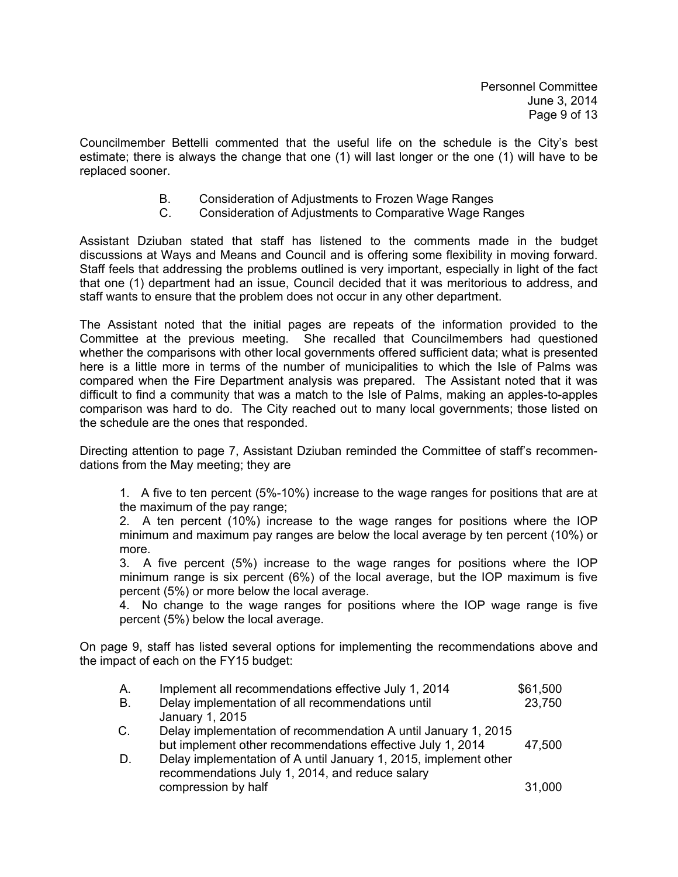Councilmember Bettelli commented that the useful life on the schedule is the City's best estimate; there is always the change that one (1) will last longer or the one (1) will have to be replaced sooner.

- B. Consideration of Adjustments to Frozen Wage Ranges
- C. Consideration of Adjustments to Comparative Wage Ranges

Assistant Dziuban stated that staff has listened to the comments made in the budget discussions at Ways and Means and Council and is offering some flexibility in moving forward. Staff feels that addressing the problems outlined is very important, especially in light of the fact that one (1) department had an issue, Council decided that it was meritorious to address, and staff wants to ensure that the problem does not occur in any other department.

The Assistant noted that the initial pages are repeats of the information provided to the Committee at the previous meeting. She recalled that Councilmembers had questioned whether the comparisons with other local governments offered sufficient data; what is presented here is a little more in terms of the number of municipalities to which the Isle of Palms was compared when the Fire Department analysis was prepared. The Assistant noted that it was difficult to find a community that was a match to the Isle of Palms, making an apples-to-apples comparison was hard to do. The City reached out to many local governments; those listed on the schedule are the ones that responded.

Directing attention to page 7, Assistant Dziuban reminded the Committee of staff's recommendations from the May meeting; they are

 1. A five to ten percent (5%-10%) increase to the wage ranges for positions that are at the maximum of the pay range;

2. A ten percent (10%) increase to the wage ranges for positions where the IOP minimum and maximum pay ranges are below the local average by ten percent (10%) or more.

3. A five percent (5%) increase to the wage ranges for positions where the IOP minimum range is six percent (6%) of the local average, but the IOP maximum is five percent (5%) or more below the local average.

4. No change to the wage ranges for positions where the IOP wage range is five percent (5%) below the local average.

On page 9, staff has listed several options for implementing the recommendations above and the impact of each on the FY15 budget:

| А.          | Implement all recommendations effective July 1, 2014             | \$61,500 |
|-------------|------------------------------------------------------------------|----------|
| В.          | Delay implementation of all recommendations until                | 23,750   |
|             | January 1, 2015                                                  |          |
| $C_{\cdot}$ | Delay implementation of recommendation A until January 1, 2015   |          |
|             | but implement other recommendations effective July 1, 2014       | 47,500   |
| D.          | Delay implementation of A until January 1, 2015, implement other |          |
|             | recommendations July 1, 2014, and reduce salary                  |          |
|             | compression by half                                              | 31,000   |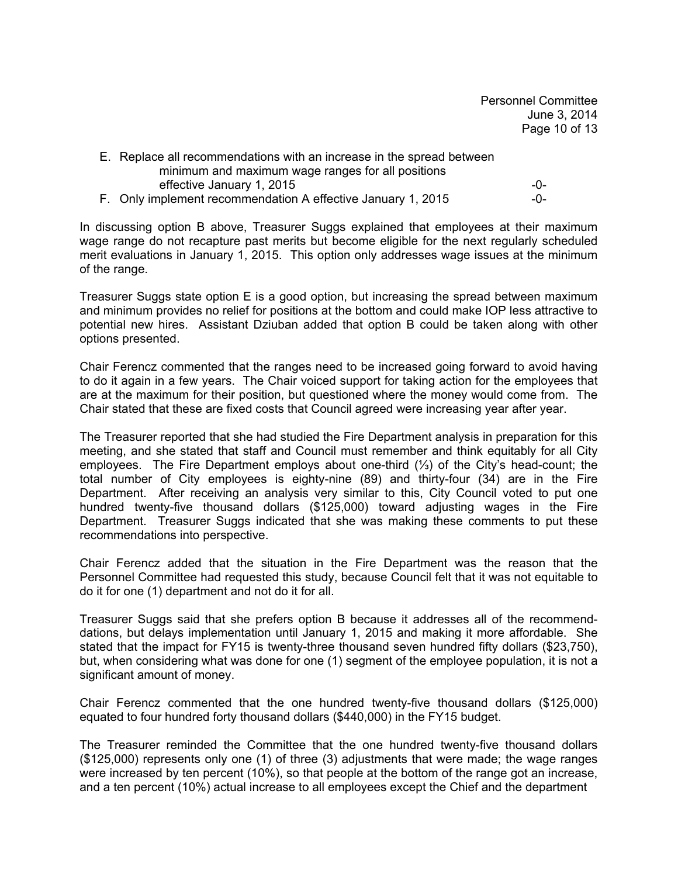Personnel Committee June 3, 2014 Page 10 of 13

| E. Replace all recommendations with an increase in the spread between |       |
|-----------------------------------------------------------------------|-------|
| minimum and maximum wage ranges for all positions                     |       |
| effective January 1, 2015                                             | $-0-$ |
| F. Only implement recommendation A effective January 1, 2015          | –O–   |

In discussing option B above, Treasurer Suggs explained that employees at their maximum wage range do not recapture past merits but become eligible for the next regularly scheduled merit evaluations in January 1, 2015. This option only addresses wage issues at the minimum of the range.

Treasurer Suggs state option E is a good option, but increasing the spread between maximum and minimum provides no relief for positions at the bottom and could make IOP less attractive to potential new hires. Assistant Dziuban added that option B could be taken along with other options presented.

Chair Ferencz commented that the ranges need to be increased going forward to avoid having to do it again in a few years. The Chair voiced support for taking action for the employees that are at the maximum for their position, but questioned where the money would come from. The Chair stated that these are fixed costs that Council agreed were increasing year after year.

The Treasurer reported that she had studied the Fire Department analysis in preparation for this meeting, and she stated that staff and Council must remember and think equitably for all City employees. The Fire Department employs about one-third (⅓) of the City's head-count; the total number of City employees is eighty-nine (89) and thirty-four (34) are in the Fire Department. After receiving an analysis very similar to this, City Council voted to put one hundred twenty-five thousand dollars (\$125,000) toward adjusting wages in the Fire Department. Treasurer Suggs indicated that she was making these comments to put these recommendations into perspective.

Chair Ferencz added that the situation in the Fire Department was the reason that the Personnel Committee had requested this study, because Council felt that it was not equitable to do it for one (1) department and not do it for all.

Treasurer Suggs said that she prefers option B because it addresses all of the recommenddations, but delays implementation until January 1, 2015 and making it more affordable. She stated that the impact for FY15 is twenty-three thousand seven hundred fifty dollars (\$23,750), but, when considering what was done for one (1) segment of the employee population, it is not a significant amount of money.

Chair Ferencz commented that the one hundred twenty-five thousand dollars (\$125,000) equated to four hundred forty thousand dollars (\$440,000) in the FY15 budget.

The Treasurer reminded the Committee that the one hundred twenty-five thousand dollars (\$125,000) represents only one (1) of three (3) adjustments that were made; the wage ranges were increased by ten percent (10%), so that people at the bottom of the range got an increase, and a ten percent (10%) actual increase to all employees except the Chief and the department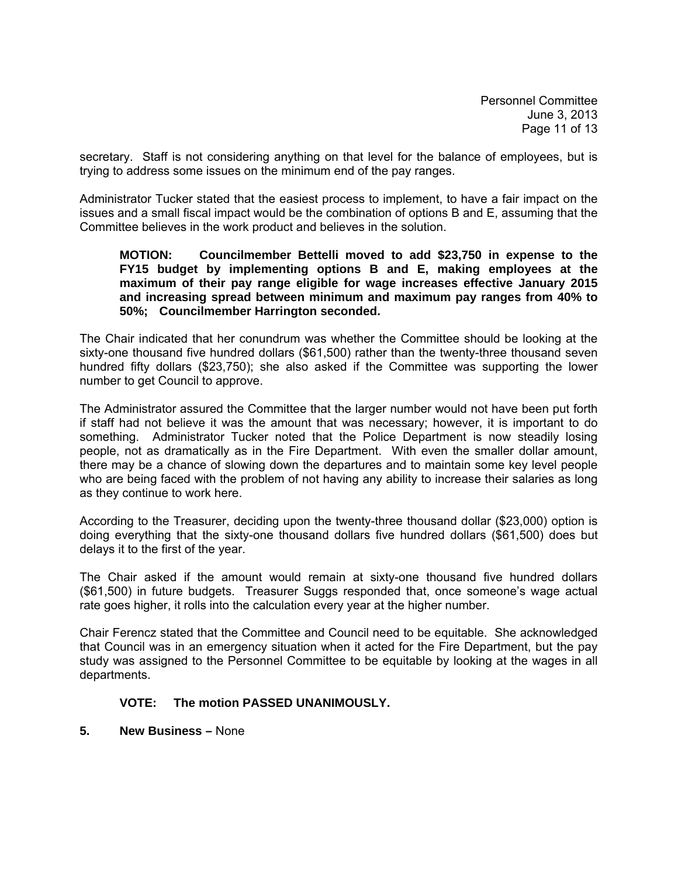Personnel Committee June 3, 2013 Page 11 of 13

secretary. Staff is not considering anything on that level for the balance of employees, but is trying to address some issues on the minimum end of the pay ranges.

Administrator Tucker stated that the easiest process to implement, to have a fair impact on the issues and a small fiscal impact would be the combination of options B and E, assuming that the Committee believes in the work product and believes in the solution.

### **MOTION: Councilmember Bettelli moved to add \$23,750 in expense to the FY15 budget by implementing options B and E, making employees at the maximum of their pay range eligible for wage increases effective January 2015 and increasing spread between minimum and maximum pay ranges from 40% to 50%; Councilmember Harrington seconded.**

The Chair indicated that her conundrum was whether the Committee should be looking at the sixty-one thousand five hundred dollars (\$61,500) rather than the twenty-three thousand seven hundred fifty dollars (\$23,750); she also asked if the Committee was supporting the lower number to get Council to approve.

The Administrator assured the Committee that the larger number would not have been put forth if staff had not believe it was the amount that was necessary; however, it is important to do something. Administrator Tucker noted that the Police Department is now steadily losing people, not as dramatically as in the Fire Department. With even the smaller dollar amount, there may be a chance of slowing down the departures and to maintain some key level people who are being faced with the problem of not having any ability to increase their salaries as long as they continue to work here.

According to the Treasurer, deciding upon the twenty-three thousand dollar (\$23,000) option is doing everything that the sixty-one thousand dollars five hundred dollars (\$61,500) does but delays it to the first of the year.

The Chair asked if the amount would remain at sixty-one thousand five hundred dollars (\$61,500) in future budgets. Treasurer Suggs responded that, once someone's wage actual rate goes higher, it rolls into the calculation every year at the higher number.

Chair Ferencz stated that the Committee and Council need to be equitable. She acknowledged that Council was in an emergency situation when it acted for the Fire Department, but the pay study was assigned to the Personnel Committee to be equitable by looking at the wages in all departments.

## **VOTE: The motion PASSED UNANIMOUSLY.**

## **5. New Business –** None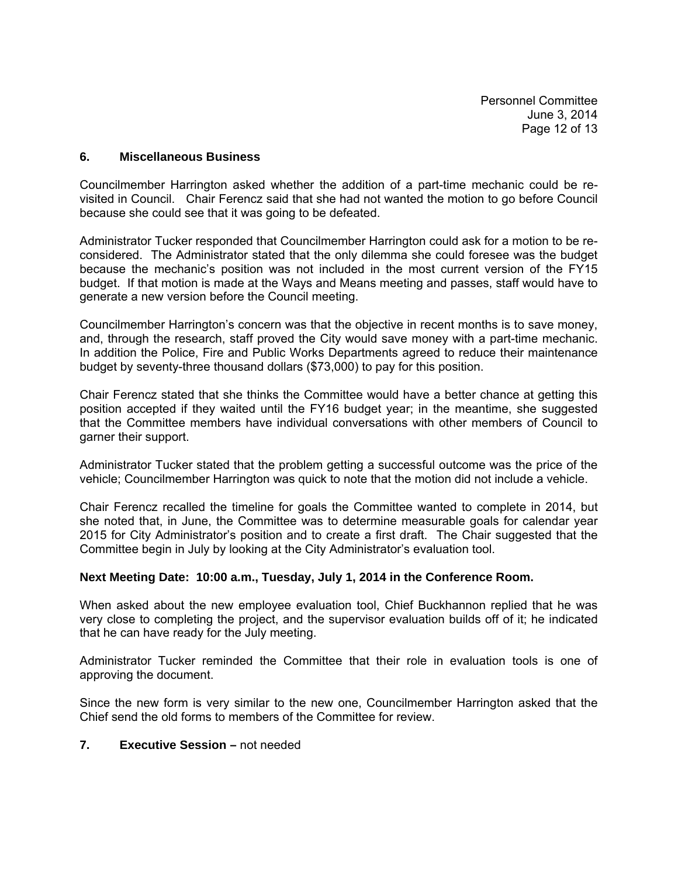Personnel Committee June 3, 2014 Page 12 of 13

#### **6. Miscellaneous Business**

Councilmember Harrington asked whether the addition of a part-time mechanic could be revisited in Council. Chair Ferencz said that she had not wanted the motion to go before Council because she could see that it was going to be defeated.

Administrator Tucker responded that Councilmember Harrington could ask for a motion to be reconsidered. The Administrator stated that the only dilemma she could foresee was the budget because the mechanic's position was not included in the most current version of the FY15 budget. If that motion is made at the Ways and Means meeting and passes, staff would have to generate a new version before the Council meeting.

Councilmember Harrington's concern was that the objective in recent months is to save money, and, through the research, staff proved the City would save money with a part-time mechanic. In addition the Police, Fire and Public Works Departments agreed to reduce their maintenance budget by seventy-three thousand dollars (\$73,000) to pay for this position.

Chair Ferencz stated that she thinks the Committee would have a better chance at getting this position accepted if they waited until the FY16 budget year; in the meantime, she suggested that the Committee members have individual conversations with other members of Council to garner their support.

Administrator Tucker stated that the problem getting a successful outcome was the price of the vehicle; Councilmember Harrington was quick to note that the motion did not include a vehicle.

Chair Ferencz recalled the timeline for goals the Committee wanted to complete in 2014, but she noted that, in June, the Committee was to determine measurable goals for calendar year 2015 for City Administrator's position and to create a first draft. The Chair suggested that the Committee begin in July by looking at the City Administrator's evaluation tool.

#### **Next Meeting Date: 10:00 a.m., Tuesday, July 1, 2014 in the Conference Room.**

When asked about the new employee evaluation tool, Chief Buckhannon replied that he was very close to completing the project, and the supervisor evaluation builds off of it; he indicated that he can have ready for the July meeting.

Administrator Tucker reminded the Committee that their role in evaluation tools is one of approving the document.

Since the new form is very similar to the new one, Councilmember Harrington asked that the Chief send the old forms to members of the Committee for review.

#### **7. Executive Session –** not needed